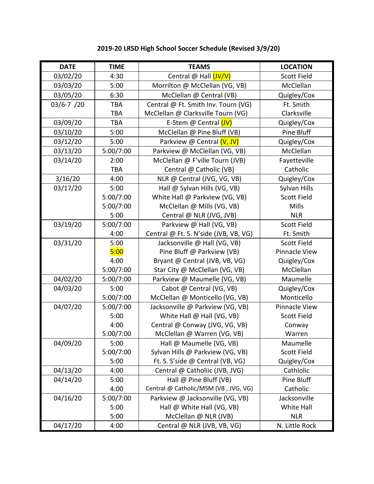| <b>DATE</b>     | <b>TIME</b> | <b>TEAMS</b>                          | <b>LOCATION</b>      |
|-----------------|-------------|---------------------------------------|----------------------|
| 03/02/20        | 4:30        | Central @ Hall (JV/V)                 | Scott Field          |
| 03/03/20        | 5:00        | Morrilton @ McClellan (VG, VB)        | McClellan            |
| 03/05/20        | 6:30        | McClellan @ Central (VB)              | Quigley/Cox          |
| $03/6 - 7 / 20$ | <b>TBA</b>  | Central @ Ft. Smith Inv. Tourn (VG)   | Ft. Smith            |
|                 | <b>TBA</b>  | McClellan @ Clarksville Tourn (VG)    | Clarksville          |
| 03/09/20        | <b>TBA</b>  | E-Stem @ Central (JV)                 | Quigley/Cox          |
| 03/10/20        | 5:00        | McClellan @ Pine Bluff (VB)           | Pine Bluff           |
| 03/12/20        | 5:00        | Parkview @ Central (V, JV)            | Quigley/Cox          |
| 03/13/20        | 5:00/7:00   | Parkview @ McClellan (VG, VB)         | McClellan            |
| 03/14/20        | 2:00        | McClellan @ F'ville Tourn (JVB)       | Fayetteville         |
|                 | TBA         | Central @ Catholic (VB)               | Catholic             |
| 3/16/20         | 4:00        | NLR @ Central (JVG, VG, VB)           | Quigley/Cox          |
| 03/17/20        | 5:00        | Hall @ Sylvan Hills (VG, VB)          | Sylvan Hills         |
|                 | 5:00/7:00   | White Hall @ Parkview (VG, VB)        | <b>Scott Field</b>   |
|                 | 5:00/7:00   | McClellan @ Mills (VG, VB)            | Mills                |
|                 | 5:00        | Central @ NLR (JVG, JVB)              | <b>NLR</b>           |
| 03/19/20        | 5:00/7:00   | Parkview @ Hall (VG, VB)              | <b>Scott Field</b>   |
|                 | 4:00        | Central @ Ft. S. N'side (JVB, VB, VG) | Ft. Smith            |
| 03/31/20        | 5:00        | Jacksonville @ Hall (VG, VB)          | Scott Field          |
|                 | 5:00        | Pine Bluff @ Parkview (VB)            | Pinnacle View        |
|                 | 4:00        | Bryant @ Central (JVB, VB, VG)        | Quigley/Cox          |
|                 | 5:00/7:00   | Star City @ McClellan (VG, VB)        | McClellan            |
| 04/02/20        | 5:00/7:00   | Parkview @ Maumelle (VG, VB)          | Maumelle             |
| 04/03/20        | 5:00        | Cabot @ Central (VG, VB)              | Quigley/Cox          |
|                 | 5:00/7:00   | McClellan @ Monticello (VG, VB)       | Monticello           |
| 04/07/20        | 5:00/7:00   | Jacksonville @ Parkview (VG, VB)      | <b>Pinnacle View</b> |
|                 | 5:00        | White Hall @ Hall (VG, VB)            | <b>Scott Field</b>   |
|                 | 4:00        | Central @ Conway (JVG, VG, VB)        | Conway               |
|                 | 5:00/7:00   | McClellan @ Warren (VG, VB)           | Warren               |
| 04/09/20        | 5:00        | Hall @ Maumelle (VG, VB)              | Maumelle             |
|                 | 5:00/7:00   | Sylvan Hills @ Parkview (VG, VB)      | Scott Field          |
|                 | 5:00        | Ft. S. S'side @ Central (VB, VG)      | Quigley/Cox          |
| 04/13/20        | 4:00        | Central @ Catholiic (JVB, JVG)        | Cathlolic            |
| 04/14/20        | 5:00        | Hall @ Pine Bluff (VB)                | Pine Bluff           |
|                 | 4:00        | Central @ Catholic/MSM (VB, JVG, VG)  | Catholic             |
| 04/16/20        | 5:00/7:00   | Parkview @ Jacksonville (VG, VB)      | Jacksonville         |
|                 | 5:00        | Hall @ White Hall (VG, VB)            | White Hall           |
|                 | 5:00        | McClellan @ NLR (JVB)                 | <b>NLR</b>           |
| 04/17/20        | 4:00        | Central @ NLR (JVB, VB, VG)           | N. Little Rock       |

## **2019-20 LRSD High School Soccer Schedule (Revised 3/9/20)**